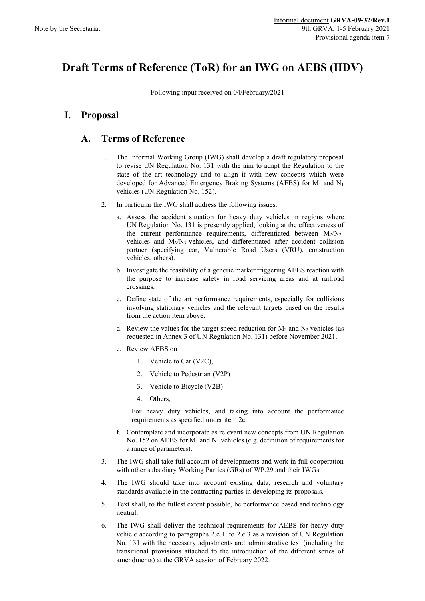## **Draft Terms of Reference (ToR) for an IWG on AEBS (HDV)**

Following input received on 04/February/2021

## **I. Proposal**

## **A. Terms of Reference**

- 1. The Informal Working Group (IWG) shall develop a draft regulatory proposal to revise UN Regulation No. 131 with the aim to adapt the Regulation to the state of the art technology and to align it with new concepts which were developed for Advanced Emergency Braking Systems (AEBS) for M1 and N1 vehicles (UN Regulation No. 152).
- 2. In particular the IWG shall address the following issues:
	- a. Assess the accident situation for heavy duty vehicles in regions where UN Regulation No. 131 is presently applied, looking at the effectiveness of the current performance requirements, differentiated between  $M_2/N_2$ vehicles and  $M_3/N_3$ -vehicles, and differentiated after accident collision partner (specifying car, Vulnerable Road Users (VRU), construction vehicles, others).
	- b. Investigate the feasibility of a generic marker triggering AEBS reaction with the purpose to increase safety in road servicing areas and at railroad crossings.
	- c. Define state of the art performance requirements, especially for collisions involving stationary vehicles and the relevant targets based on the results from the action item above.
	- d. Review the values for the target speed reduction for  $M_2$  and  $N_2$  vehicles (as requested in Annex 3 of UN Regulation No. 131) before November 2021.
	- e. Review AEBS on
		- 1. Vehicle to Car (V2C),
		- 2. Vehicle to Pedestrian (V2P)
		- 3. Vehicle to Bicycle (V2B)
		- 4. Others,

For heavy duty vehicles, and taking into account the performance requirements as specified under item 2c.

- f. Contemplate and incorporate as relevant new concepts from UN Regulation No. 152 on AEBS for  $M_1$  and  $N_1$  vehicles (e.g. definition of requirements for a range of parameters).
- 3. The IWG shall take full account of developments and work in full cooperation with other subsidiary Working Parties (GRs) of WP.29 and their IWGs.
- 4. The IWG should take into account existing data, research and voluntary standards available in the contracting parties in developing its proposals.
- 5. Text shall, to the fullest extent possible, be performance based and technology neutral.
- 6. The IWG shall deliver the technical requirements for AEBS for heavy duty vehicle according to paragraphs 2.e.1. to 2.e.3 as a revision of UN Regulation No. 131 with the necessary adjustments and administrative text (including the transitional provisions attached to the introduction of the different series of amendments) at the GRVA session of February 2022.